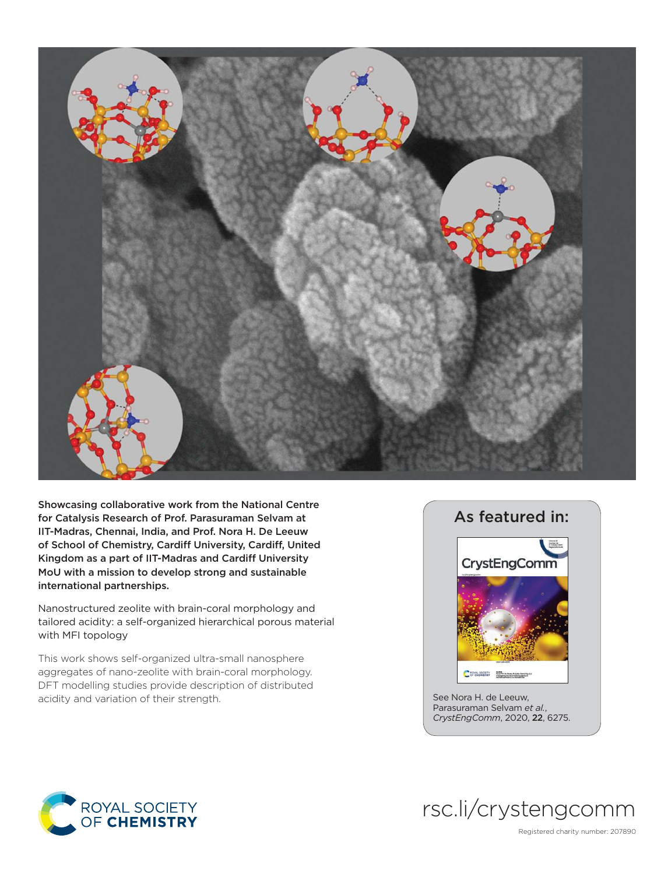

Showcasing collaborative work from the National Centre for Catalysis Research of Prof. Parasuraman Selvam at IIT-Madras, Chennai, India, and Prof. Nora H. De Leeuw of School of Chemistry, Cardiff University, Cardiff, United Kingdom as a part of IIT-Madras and Cardiff University MoU with a mission to develop strong and sustainable international partnerships.

Nanostructured zeolite with brain-coral morphology and tailored acidity: a self-organized hierarchical porous material with MFI topology

This work shows self-organized ultra-small nanosphere aggregates of nano-zeolite with brain-coral morphology. DFT modelling studies provide description of distributed acidity and variation of their strength.



See Nora H. de Leeuw, Parasuraman Selvam *et al.*, *CrystEngComm*, 2020, 22, 6275.





Registered charity number: 207890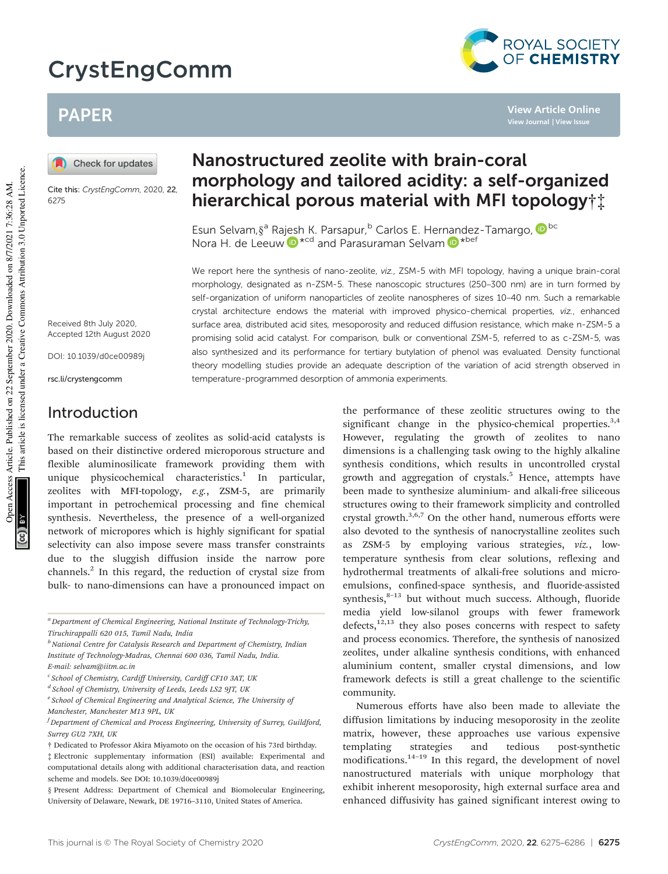# CrystEngComm



**View Article Online**

# PAPER

Check for updates

Cite this: CrystEngComm, 2020, 22, 6275

# Nanostructured zeolite with brain-coral morphology and tailored acidity: a self-organized hierarchical porous material with MFI topology†‡

Esun Selvam, §<sup>a</sup> Rajesh K. Parsapur, <sup>b</sup> Carlos E. Hernandez-Tamargo, <sup>iD bc</sup> Nora H. de Leeuw <sup>in \*cd</sup> and Parasuraman Selvam in \*bef

We report here the synthesis of nano-zeolite, viz., ZSM-5 with MFI topology, having a unique brain-coral morphology, designated as n-ZSM-5. These nanoscopic structures (250–300 nm) are in turn formed by self-organization of uniform nanoparticles of zeolite nanospheres of sizes 10–40 nm. Such a remarkable crystal architecture endows the material with improved physico-chemical properties, viz., enhanced surface area, distributed acid sites, mesoporosity and reduced diffusion resistance, which make n-ZSM-5 a promising solid acid catalyst. For comparison, bulk or conventional ZSM-5, referred to as c-ZSM-5, was also synthesized and its performance for tertiary butylation of phenol was evaluated. Density functional theory modelling studies provide an adequate description of the variation of acid strength observed in temperature-programmed desorption of ammonia experiments.

Received 8th July 2020, Accepted 12th August 2020

DOI: 10.1039/d0ce00989j

rsc.li/crystengcomm

# Introduction

The remarkable success of zeolites as solid-acid catalysts is based on their distinctive ordered microporous structure and flexible aluminosilicate framework providing them with unique physicochemical characteristics.<sup>1</sup> In particular, zeolites with MFI-topology, *e.g.*, ZSM-5, are primarily important in petrochemical processing and fine chemical synthesis. Nevertheless, the presence of a well-organized network of micropores which is highly significant for spatial selectivity can also impose severe mass transfer constraints due to the sluggish diffusion inside the narrow pore channels.<sup>2</sup> In this regard, the reduction of crystal size from bulk- to nano-dimensions can have a pronounced impact on

*<sup>b</sup>National Centre for Catalysis Research and Department of Chemistry, Indian Institute of Technology-Madras, Chennai 600 036, Tamil Nadu, India. E-mail: selvam@iitm.ac.in*

the performance of these zeolitic structures owing to the significant change in the physico-chemical properties. $3,4$ However, regulating the growth of zeolites to nano dimensions is a challenging task owing to the highly alkaline synthesis conditions, which results in uncontrolled crystal growth and aggregation of crystals.<sup>5</sup> Hence, attempts have been made to synthesize aluminium- and alkali-free siliceous structures owing to their framework simplicity and controlled crystal growth.3,6,7 On the other hand, numerous efforts were also devoted to the synthesis of nanocrystalline zeolites such as ZSM-5 by employing various strategies, *viz.*, lowtemperature synthesis from clear solutions, reflexing and hydrothermal treatments of alkali-free solutions and microemulsions, confined-space synthesis, and fluoride-assisted synthesis, $8-13$  but without much success. Although, fluoride media yield low-silanol groups with fewer framework defects,<sup>12,13</sup> they also poses concerns with respect to safety and process economics. Therefore, the synthesis of nanosized zeolites, under alkaline synthesis conditions, with enhanced aluminium content, smaller crystal dimensions, and low framework defects is still a great challenge to the scientific community.

Numerous efforts have also been made to alleviate the diffusion limitations by inducing mesoporosity in the zeolite matrix, however, these approaches use various expensive templating strategies and tedious post-synthetic modifications.14–<sup>19</sup> In this regard, the development of novel nanostructured materials with unique morphology that exhibit inherent mesoporosity, high external surface area and enhanced diffusivity has gained significant interest owing to

This journal is © The Royal Society of Chemistry 2020 CrystEngComm, 2020, 22, 6275-6286 | 6275

*<sup>a</sup>Department of Chemical Engineering, National Institute of Technology-Trichy, Tiruchirappalli 620 015, Tamil Nadu, India*

*c School of Chemistry, Cardiff University, Cardiff CF10 3AT, UK*

*d School of Chemistry, University of Leeds, Leeds LS2 9JT, UK*

*e School of Chemical Engineering and Analytical Science, The University of Manchester, Manchester M13 9PL, UK*

*<sup>f</sup>Department of Chemical and Process Engineering, University of Surrey, Guildford, Surrey GU2 7XH, UK*

<sup>†</sup> Dedicated to Professor Akira Miyamoto on the occasion of his 73rd birthday.

<sup>‡</sup> Electronic supplementary information (ESI) available: Experimental and computational details along with additional characterisation data, and reaction scheme and models. See DOI: 10.1039/d0ce00989j

<sup>§</sup> Present Address: Department of Chemical and Biomolecular Engineering, University of Delaware, Newark, DE 19716–3110, United States of America.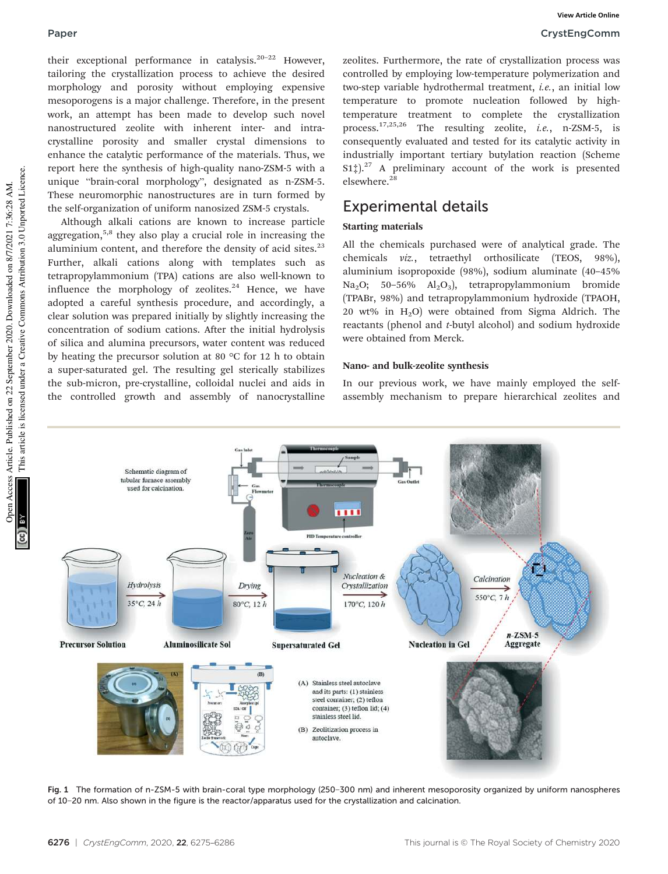**View Article Online**

their exceptional performance in catalysis.<sup>20-22</sup> However, tailoring the crystallization process to achieve the desired morphology and porosity without employing expensive mesoporogens is a major challenge. Therefore, in the present work, an attempt has been made to develop such novel nanostructured zeolite with inherent inter- and intracrystalline porosity and smaller crystal dimensions to enhance the catalytic performance of the materials. Thus, we report here the synthesis of high-quality nano-ZSM-5 with a unique "brain-coral morphology", designated as n-ZSM-5. These neuromorphic nanostructures are in turn formed by the self-organization of uniform nanosized ZSM-5 crystals.

Although alkali cations are known to increase particle aggregation,<sup>5,8</sup> they also play a crucial role in increasing the aluminium content, and therefore the density of acid sites.<sup>23</sup> Further, alkali cations along with templates such as tetrapropylammonium (TPA) cations are also well-known to influence the morphology of zeolites. $24$  Hence, we have adopted a careful synthesis procedure, and accordingly, a clear solution was prepared initially by slightly increasing the concentration of sodium cations. After the initial hydrolysis of silica and alumina precursors, water content was reduced by heating the precursor solution at 80 °C for 12 h to obtain a super-saturated gel. The resulting gel sterically stabilizes the sub-micron, pre-crystalline, colloidal nuclei and aids in the controlled growth and assembly of nanocrystalline zeolites. Furthermore, the rate of crystallization process was controlled by employing low-temperature polymerization and two-step variable hydrothermal treatment, *i.e.*, an initial low temperature to promote nucleation followed by hightemperature treatment to complete the crystallization process.17,25,26 The resulting zeolite, *i.e.*, n-ZSM-5, is consequently evaluated and tested for its catalytic activity in industrially important tertiary butylation reaction (Scheme  $S1\ddagger$ ).<sup>27</sup> A preliminary account of the work is presented elsewhere.<sup>28</sup>

# Experimental details

### Starting materials

All the chemicals purchased were of analytical grade. The chemicals *viz.*, tetraethyl orthosilicate (TEOS, 98%), aluminium isopropoxide (98%), sodium aluminate (40–45% Na<sub>2</sub>O; 50–56% Al<sub>2</sub>O<sub>3</sub>), tetrapropylammonium bromide (TPABr, 98%) and tetrapropylammonium hydroxide (TPAOH, 20 wt% in  $H_2O$ ) were obtained from Sigma Aldrich. The reactants (phenol and *t*-butyl alcohol) and sodium hydroxide were obtained from Merck.

#### Nano- and bulk-zeolite synthesis

In our previous work, we have mainly employed the selfassembly mechanism to prepare hierarchical zeolites and



Fig. 1 The formation of n-ZSM-5 with brain-coral type morphology (250−300 nm) and inherent mesoporosity organized by uniform nanospheres of 10−20 nm. Also shown in the figure is the reactor/apparatus used for the crystallization and calcination.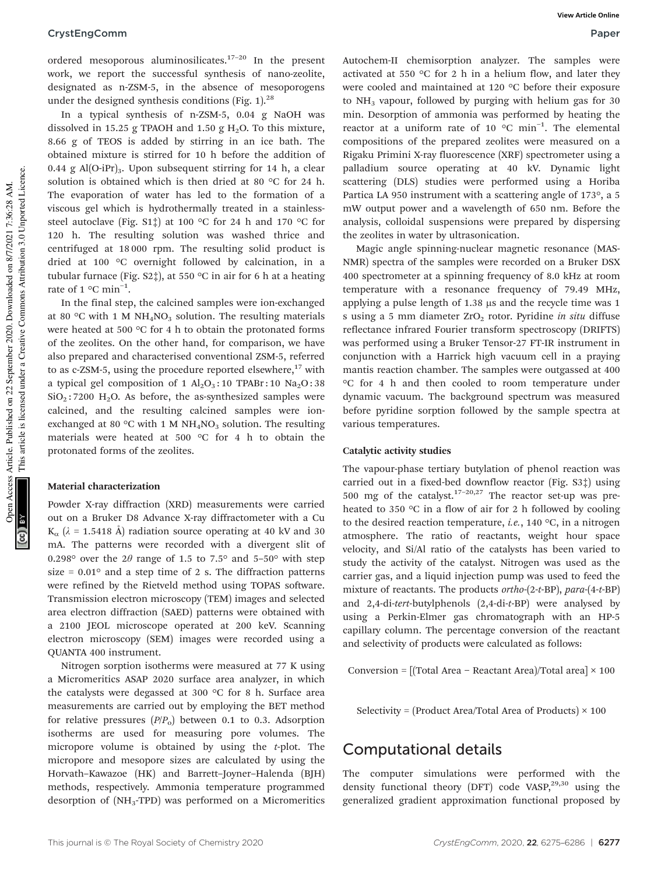ordered mesoporous aluminosilicates.<sup>17-20</sup> In the present work, we report the successful synthesis of nano-zeolite, designated as n-ZSM-5, in the absence of mesoporogens under the designed synthesis conditions (Fig. 1). $^{28}$ 

In a typical synthesis of n-ZSM-5, 0.04 g NaOH was dissolved in 15.25 g TPAOH and 1.50 g  $H<sub>2</sub>O$ . To this mixture, 8.66 g of TEOS is added by stirring in an ice bath. The obtained mixture is stirred for 10 h before the addition of 0.44 g Al $(O-iPr)_3$ . Upon subsequent stirring for 14 h, a clear solution is obtained which is then dried at 80 °C for 24 h. The evaporation of water has led to the formation of a viscous gel which is hydrothermally treated in a stainlesssteel autoclave (Fig. S1 $\ddagger$ ) at 100 °C for 24 h and 170 °C for 120 h. The resulting solution was washed thrice and centrifuged at 18 000 rpm. The resulting solid product is dried at 100 °C overnight followed by calcination, in a tubular furnace (Fig. S2‡), at 550 °C in air for 6 h at a heating rate of 1  $^{\circ}$ C min<sup>-1</sup>.

In the final step, the calcined samples were ion-exchanged at 80 °C with 1 M NH<sub>4</sub>NO<sub>3</sub> solution. The resulting materials were heated at 500 °C for 4 h to obtain the protonated forms of the zeolites. On the other hand, for comparison, we have also prepared and characterised conventional ZSM-5, referred to as c-ZSM-5, using the procedure reported elsewhere, $17$  with a typical gel composition of 1  $Al_2O_3$ : 10 TPABr: 10  $Na_2O$ : 38  $SiO<sub>2</sub>$ : 7200 H<sub>2</sub>O. As before, the as-synthesized samples were calcined, and the resulting calcined samples were ionexchanged at 80 °C with 1 M  $NH<sub>4</sub>NO<sub>3</sub>$  solution. The resulting materials were heated at 500 °C for 4 h to obtain the protonated forms of the zeolites.

#### Material characterization

Powder X-ray diffraction (XRD) measurements were carried out on a Bruker D8 Advance X-ray diffractometer with a Cu  $K_{\alpha}$  ( $\lambda$  = 1.5418 Å) radiation source operating at 40 kV and 30 mA. The patterns were recorded with a divergent slit of 0.298° over the  $2\theta$  range of 1.5 to 7.5° and 5-50° with step size =  $0.01^{\circ}$  and a step time of 2 s. The diffraction patterns were refined by the Rietveld method using TOPAS software. Transmission electron microscopy (TEM) images and selected area electron diffraction (SAED) patterns were obtained with a 2100 JEOL microscope operated at 200 keV. Scanning electron microscopy (SEM) images were recorded using a QUANTA 400 instrument.

Nitrogen sorption isotherms were measured at 77 K using a Micromeritics ASAP 2020 surface area analyzer, in which the catalysts were degassed at 300 °C for 8 h. Surface area measurements are carried out by employing the BET method for relative pressures (*P*/*P*o) between 0.1 to 0.3. Adsorption isotherms are used for measuring pore volumes. The micropore volume is obtained by using the *t*-plot. The micropore and mesopore sizes are calculated by using the Horvath–Kawazoe (HK) and Barrett–Joyner–Halenda (BJH) methods, respectively. Ammonia temperature programmed desorption of (NH3-TPD) was performed on a Micromeritics Autochem-II chemisorption analyzer. The samples were activated at 550 °C for 2 h in a helium flow, and later they were cooled and maintained at 120 °C before their exposure to  $NH<sub>3</sub>$  vapour, followed by purging with helium gas for 30 min. Desorption of ammonia was performed by heating the reactor at a uniform rate of 10 °C min−<sup>1</sup> . The elemental compositions of the prepared zeolites were measured on a Rigaku Primini X-ray fluorescence (XRF) spectrometer using a palladium source operating at 40 kV. Dynamic light scattering (DLS) studies were performed using a Horiba Partica LA 950 instrument with a scattering angle of 173°, a 5 mW output power and a wavelength of 650 nm. Before the analysis, colloidal suspensions were prepared by dispersing the zeolites in water by ultrasonication.

Magic angle spinning-nuclear magnetic resonance (MAS-NMR) spectra of the samples were recorded on a Bruker DSX 400 spectrometer at a spinning frequency of 8.0 kHz at room temperature with a resonance frequency of 79.49 MHz, applying a pulse length of 1.38 μs and the recycle time was 1 s using a 5 mm diameter ZrO<sub>2</sub> rotor. Pyridine *in situ* diffuse reflectance infrared Fourier transform spectroscopy (DRIFTS) was performed using a Bruker Tensor-27 FT-IR instrument in conjunction with a Harrick high vacuum cell in a praying mantis reaction chamber. The samples were outgassed at 400 °C for 4 h and then cooled to room temperature under dynamic vacuum. The background spectrum was measured before pyridine sorption followed by the sample spectra at various temperatures.

#### Catalytic activity studies

The vapour-phase tertiary butylation of phenol reaction was carried out in a fixed-bed downflow reactor (Fig. S3‡) using 500 mg of the catalyst.<sup>17–20,27</sup> The reactor set-up was preheated to 350 °C in a flow of air for 2 h followed by cooling to the desired reaction temperature, *i.e.*, 140 °C, in a nitrogen atmosphere. The ratio of reactants, weight hour space velocity, and Si/Al ratio of the catalysts has been varied to study the activity of the catalyst. Nitrogen was used as the carrier gas, and a liquid injection pump was used to feed the mixture of reactants. The products *ortho*-(2-*t*-BP), *para*-(4-*t*-BP) and 2,4-di-*tert*-butylphenols (2,4-di-*t*-BP) were analysed by using a Perkin-Elmer gas chromatograph with an HP-5 capillary column. The percentage conversion of the reactant and selectivity of products were calculated as follows:

Conversion = [(Total Area − Reactant Area)/Total area] × 100

Selectivity = (Product Area/Total Area of Products)  $\times$  100

## Computational details

The computer simulations were performed with the density functional theory (DFT) code  $VASP^{29,30}$  using the generalized gradient approximation functional proposed by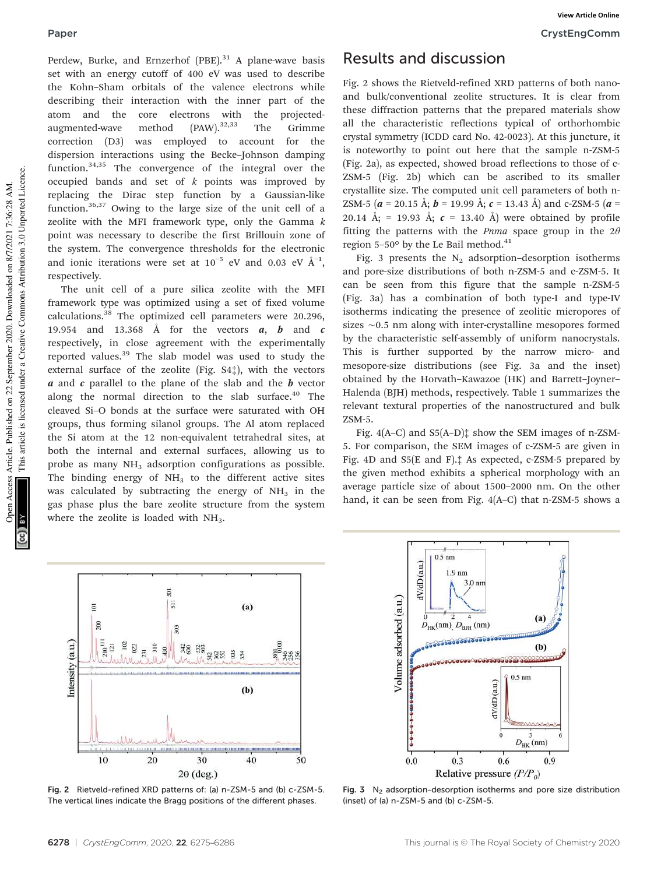Perdew, Burke, and Ernzerhof  $(PBE)$ .<sup>31</sup> A plane-wave basis set with an energy cutoff of 400 eV was used to describe the Kohn–Sham orbitals of the valence electrons while describing their interaction with the inner part of the atom and the core electrons with the projectedaugmented-wave method  $(PAW)$ .<sup>32,33</sup> The Grimme correction (D3) was employed to account for the dispersion interactions using the Becke–Johnson damping function.34,35 The convergence of the integral over the occupied bands and set of *k* points was improved by replacing the Dirac step function by a Gaussian-like

function.36,37 Owing to the large size of the unit cell of a zeolite with the MFI framework type, only the Gamma *k* point was necessary to describe the first Brillouin zone of the system. The convergence thresholds for the electronic and ionic iterations were set at  $10^{-5}$  eV and 0.03 eV  $\AA^{-1}$ , respectively.

The unit cell of a pure silica zeolite with the MFI framework type was optimized using a set of fixed volume calculations.<sup>38</sup> The optimized cell parameters were 20.296, 19.954 and 13.368 Å for the vectors  $a, b$  and  $c$ respectively, in close agreement with the experimentally reported values.<sup>39</sup> The slab model was used to study the external surface of the zeolite (Fig. S4‡), with the vectors  $\alpha$  and  $\alpha$  parallel to the plane of the slab and the  $\boldsymbol{b}$  vector along the normal direction to the slab surface.<sup>40</sup> The cleaved Si–O bonds at the surface were saturated with OH groups, thus forming silanol groups. The Al atom replaced the Si atom at the 12 non-equivalent tetrahedral sites, at both the internal and external surfaces, allowing us to probe as many NH<sub>3</sub> adsorption configurations as possible. The binding energy of  $NH<sub>3</sub>$  to the different active sites was calculated by subtracting the energy of  $NH<sub>3</sub>$  in the gas phase plus the bare zeolite structure from the system where the zeolite is loaded with  $NH<sub>3</sub>$ .

## Results and discussion

Fig. 2 shows the Rietveld-refined XRD patterns of both nanoand bulk/conventional zeolite structures. It is clear from these diffraction patterns that the prepared materials show all the characteristic reflections typical of orthorhombic crystal symmetry (ICDD card No. 42-0023). At this juncture, it is noteworthy to point out here that the sample n-ZSM-5 (Fig. 2a), as expected, showed broad reflections to those of c-ZSM-5 (Fig. 2b) which can be ascribed to its smaller crystallite size. The computed unit cell parameters of both n-ZSM-5 ( $a = 20.15$  Å;  $b = 19.99$  Å;  $c = 13.43$  Å) and c-ZSM-5 ( $a =$ 20.14 Å; = 19.93 Å;  $c = 13.40$  Å) were obtained by profile fitting the patterns with the *Pnma* space group in the 2θ region  $5-50^{\circ}$  by the Le Bail method.<sup>41</sup>

Fig. 3 presents the  $N_2$  adsorption–desorption isotherms and pore-size distributions of both n-ZSM-5 and c-ZSM-5. It can be seen from this figure that the sample n-ZSM-5 (Fig. 3a) has a combination of both type-I and type-IV isotherms indicating the presence of zeolitic micropores of sizes ∼0.5 nm along with inter-crystalline mesopores formed by the characteristic self-assembly of uniform nanocrystals. This is further supported by the narrow micro- and mesopore-size distributions (see Fig. 3a and the inset) obtained by the Horvath–Kawazoe (HK) and Barrett–Joyner– Halenda (BJH) methods, respectively. Table 1 summarizes the relevant textural properties of the nanostructured and bulk ZSM-5.

Fig.  $4(A-C)$  and  $S5(A-D)$ <sup> $\dagger$ </sup> show the SEM images of n-ZSM-5. For comparison, the SEM images of c-ZSM-5 are given in Fig. 4D and S5(E and F).‡ As expected, c-ZSM-5 prepared by the given method exhibits a spherical morphology with an average particle size of about 1500–2000 nm. On the other hand, it can be seen from Fig. 4(A–C) that n-ZSM-5 shows a



Fig. 2 Rietveld-refined XRD patterns of: (a) n-ZSM-5 and (b) c-ZSM-5. The vertical lines indicate the Bragg positions of the different phases.



Fig. 3  $N_2$  adsorption–desorption isotherms and pore size distribution (inset) of (a) n-ZSM-5 and (b) c-ZSM-5.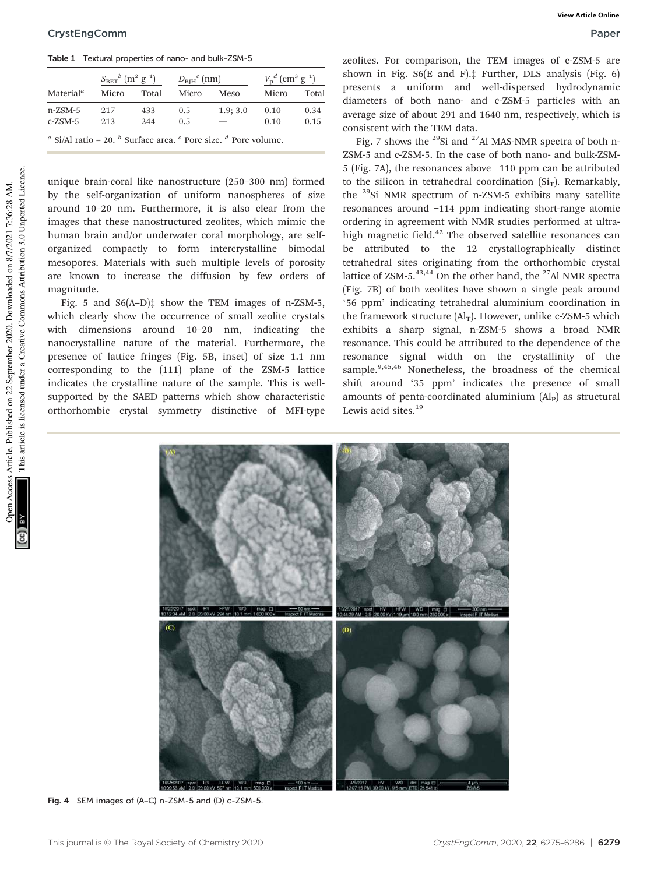Table 1 Textural properties of nano- and bulk-ZSM-5

|                                                                                                                                         | $S_{\rm BET}{}^{b}$ $(\rm m^2~g^{-1})$ |       | $D_{\text{BJH}}^{\text{c}}$ (nm) |          | $V_{\rm p}^{d}$ (cm <sup>3</sup> g <sup>-1</sup> ) |       |
|-----------------------------------------------------------------------------------------------------------------------------------------|----------------------------------------|-------|----------------------------------|----------|----------------------------------------------------|-------|
| Material $^a$                                                                                                                           | Micro                                  | Total | Micro                            | Meso     | Micro                                              | Total |
| n-ZSM-5                                                                                                                                 | 217                                    | 433   | 0.5                              | 1.9; 3.0 | 0.10                                               | 0.34  |
| c-ZSM-5                                                                                                                                 | 213                                    | 244   | 0.5                              |          | 0.10                                               | 0.15  |
| <sup><i>a</i></sup> Si/Al ratio = 20. <sup><i>b</i></sup> Surface area. <sup><i>c</i></sup> Pore size. <sup><i>d</i></sup> Pore volume. |                                        |       |                                  |          |                                                    |       |

unique brain-coral like nanostructure (250–300 nm) formed by the self-organization of uniform nanospheres of size around 10–20 nm. Furthermore, it is also clear from the images that these nanostructured zeolites, which mimic the human brain and/or underwater coral morphology, are selforganized compactly to form intercrystalline bimodal mesopores. Materials with such multiple levels of porosity are known to increase the diffusion by few orders of magnitude.

Fig. 5 and  $S6(A-D)$ <sup> $\dagger$ </sup> show the TEM images of n-ZSM-5, which clearly show the occurrence of small zeolite crystals with dimensions around 10–20 nm, indicating the nanocrystalline nature of the material. Furthermore, the presence of lattice fringes (Fig. 5B, inset) of size 1.1 nm corresponding to the (111) plane of the ZSM-5 lattice indicates the crystalline nature of the sample. This is wellsupported by the SAED patterns which show characteristic orthorhombic crystal symmetry distinctive of MFI-type zeolites. For comparison, the TEM images of c-ZSM-5 are shown in Fig. S6(E and F).‡ Further, DLS analysis (Fig. 6) presents a uniform and well-dispersed hydrodynamic diameters of both nano- and c-ZSM-5 particles with an average size of about 291 and 1640 nm, respectively, which is consistent with the TEM data.

Fig. 7 shows the <sup>29</sup>Si and <sup>27</sup>Al MAS-NMR spectra of both n-ZSM-5 and c-ZSM-5. In the case of both nano- and bulk-ZSM-5 (Fig. 7A), the resonances above −110 ppm can be attributed to the silicon in tetrahedral coordination  $(Si<sub>T</sub>)$ . Remarkably, the <sup>29</sup>Si NMR spectrum of n-ZSM-5 exhibits many satellite resonances around −114 ppm indicating short-range atomic ordering in agreement with NMR studies performed at ultrahigh magnetic field.<sup>42</sup> The observed satellite resonances can be attributed to the 12 crystallographically distinct tetrahedral sites originating from the orthorhombic crystal lattice of  $ZSM-5.^{43,44}$  On the other hand, the <sup>27</sup>Al NMR spectra (Fig. 7B) of both zeolites have shown a single peak around '56 ppm' indicating tetrahedral aluminium coordination in the framework structure  $(Al_T)$ . However, unlike c-ZSM-5 which exhibits a sharp signal, n-ZSM-5 shows a broad NMR resonance. This could be attributed to the dependence of the resonance signal width on the crystallinity of the sample.<sup>9,45,46</sup> Nonetheless, the broadness of the chemical shift around '35 ppm' indicates the presence of small amounts of penta-coordinated aluminium  $(A<sub>P</sub>)$  as structural Lewis acid sites.<sup>19</sup>



Fig. 4 SEM images of (A–C) n-ZSM-5 and (D) c-ZSM-5.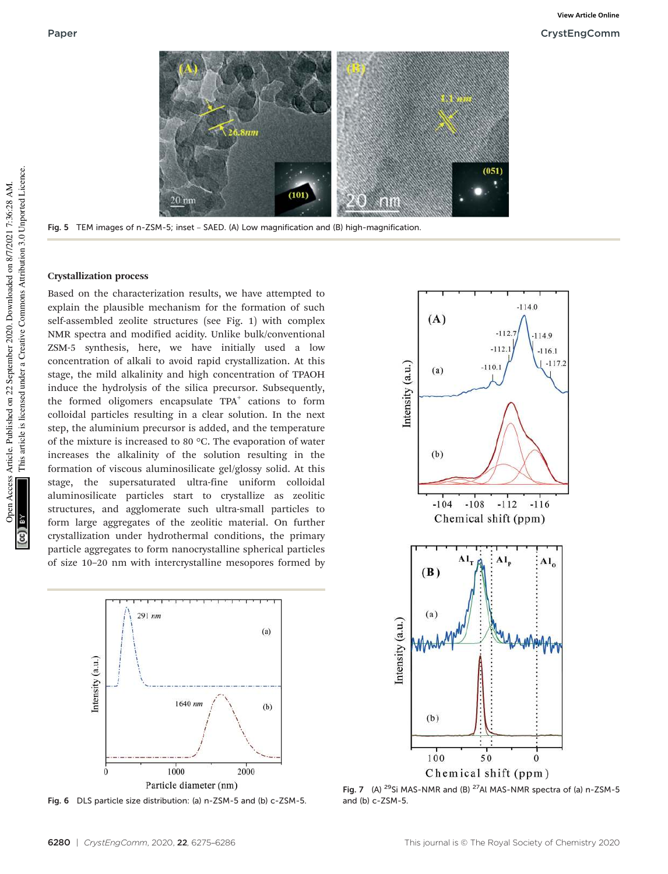

Fig. 5 TEM images of n-ZSM-5; inset – SAED. (A) Low magnification and (B) high-magnification.

#### Crystallization process

Based on the characterization results, we have attempted to explain the plausible mechanism for the formation of such self-assembled zeolite structures (see Fig. 1) with complex NMR spectra and modified acidity. Unlike bulk/conventional ZSM-5 synthesis, here, we have initially used a low concentration of alkali to avoid rapid crystallization. At this stage, the mild alkalinity and high concentration of TPAOH induce the hydrolysis of the silica precursor. Subsequently, the formed oligomers encapsulate TPA<sup>+</sup> cations to form colloidal particles resulting in a clear solution. In the next step, the aluminium precursor is added, and the temperature of the mixture is increased to 80 °C. The evaporation of water increases the alkalinity of the solution resulting in the formation of viscous aluminosilicate gel/glossy solid. At this stage, the supersaturated ultra-fine uniform colloidal aluminosilicate particles start to crystallize as zeolitic structures, and agglomerate such ultra-small particles to form large aggregates of the zeolitic material. On further crystallization under hydrothermal conditions, the primary particle aggregates to form nanocrystalline spherical particles of size 10–20 nm with intercrystalline mesopores formed by



Fig. 6 DLS particle size distribution: (a) n-ZSM-5 and (b) c-ZSM-5.



Chemical shift (ppm)

Fig. 7 (A) <sup>29</sup>Si MAS-NMR and (B) <sup>27</sup>Al MAS-NMR spectra of (a) n-ZSM-5 and (b) c-ZSM-5.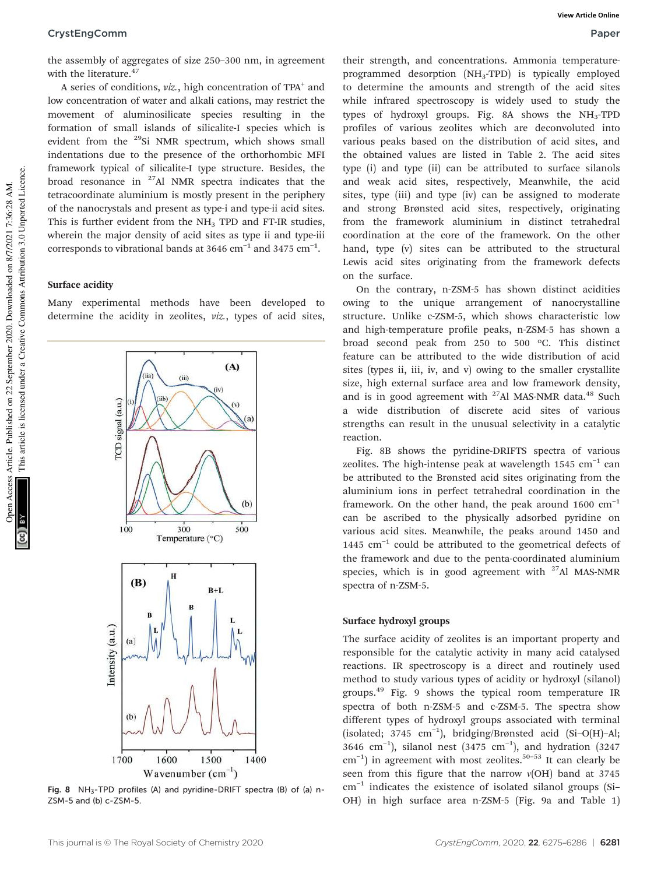#### CrystEngComm Paper

the assembly of aggregates of size 250–300 nm, in agreement with the literature.<sup>47</sup>

A series of conditions, *viz.*, high concentration of TPA<sup>+</sup> and low concentration of water and alkali cations, may restrict the movement of aluminosilicate species resulting in the formation of small islands of silicalite-I species which is evident from the <sup>29</sup>Si NMR spectrum, which shows small indentations due to the presence of the orthorhombic MFI framework typical of silicalite-I type structure. Besides, the broad resonance in  $27$ Al NMR spectra indicates that the tetracoordinate aluminium is mostly present in the periphery of the nanocrystals and present as type-i and type-ii acid sites. This is further evident from the  $NH<sub>3</sub>$  TPD and FT-IR studies, wherein the major density of acid sites as type ii and type-iii corresponds to vibrational bands at 3646  $\text{cm}^{-1}$  and 3475  $\text{cm}^{-1}$ .

#### Surface acidity

Many experimental methods have been developed to determine the acidity in zeolites, *viz.*, types of acid sites,



Fig. 8  $NH_3$ -TPD profiles (A) and pyridine-DRIFT spectra (B) of (a) n-ZSM-5 and (b) c-ZSM-5.

their strength, and concentrations. Ammonia temperatureprogrammed desorption  $(NH_3-TPD)$  is typically employed to determine the amounts and strength of the acid sites while infrared spectroscopy is widely used to study the types of hydroxyl groups. Fig. 8A shows the NH<sub>3</sub>-TPD profiles of various zeolites which are deconvoluted into various peaks based on the distribution of acid sites, and the obtained values are listed in Table 2. The acid sites type (i) and type (ii) can be attributed to surface silanols and weak acid sites, respectively, Meanwhile, the acid sites, type (iii) and type (iv) can be assigned to moderate and strong Brønsted acid sites, respectively, originating from the framework aluminium in distinct tetrahedral coordination at the core of the framework. On the other hand, type (v) sites can be attributed to the structural Lewis acid sites originating from the framework defects on the surface.

On the contrary, n-ZSM-5 has shown distinct acidities owing to the unique arrangement of nanocrystalline structure. Unlike c-ZSM-5, which shows characteristic low and high-temperature profile peaks, n-ZSM-5 has shown a broad second peak from 250 to 500 °C. This distinct feature can be attributed to the wide distribution of acid sites (types ii, iii, iv, and v) owing to the smaller crystallite size, high external surface area and low framework density, and is in good agreement with  $27$ Al MAS-NMR data.<sup>48</sup> Such a wide distribution of discrete acid sites of various strengths can result in the unusual selectivity in a catalytic reaction.

Fig. 8B shows the pyridine-DRIFTS spectra of various zeolites. The high-intense peak at wavelength 1545 cm<sup>-1</sup> can be attributed to the Brønsted acid sites originating from the aluminium ions in perfect tetrahedral coordination in the framework. On the other hand, the peak around  $1600 \text{ cm}^{-1}$ can be ascribed to the physically adsorbed pyridine on various acid sites. Meanwhile, the peaks around 1450 and 1445 cm−<sup>1</sup> could be attributed to the geometrical defects of the framework and due to the penta-coordinated aluminium species, which is in good agreement with  $27$ Al MAS-NMR spectra of n-ZSM-5.

#### Surface hydroxyl groups

The surface acidity of zeolites is an important property and responsible for the catalytic activity in many acid catalysed reactions. IR spectroscopy is a direct and routinely used method to study various types of acidity or hydroxyl (silanol) groups.<sup>49</sup> Fig. 9 shows the typical room temperature IR spectra of both n-ZSM-5 and c-ZSM-5. The spectra show different types of hydroxyl groups associated with terminal (isolated; 3745 cm−<sup>1</sup> ), bridging/Brønsted acid (Si–O(H)–Al; 3646 cm−<sup>1</sup> ), silanol nest (3475 cm−<sup>1</sup> ), and hydration (3247 cm<sup>-1</sup>) in agreement with most zeolites.<sup>50-53</sup> It can clearly be seen from this figure that the narrow ν(OH) band at 3745 cm−<sup>1</sup> indicates the existence of isolated silanol groups (Si– OH) in high surface area n-ZSM-5 (Fig. 9a and Table 1)

This article is licensed under a Creative Commons Attribution 3.0 Unported Licence.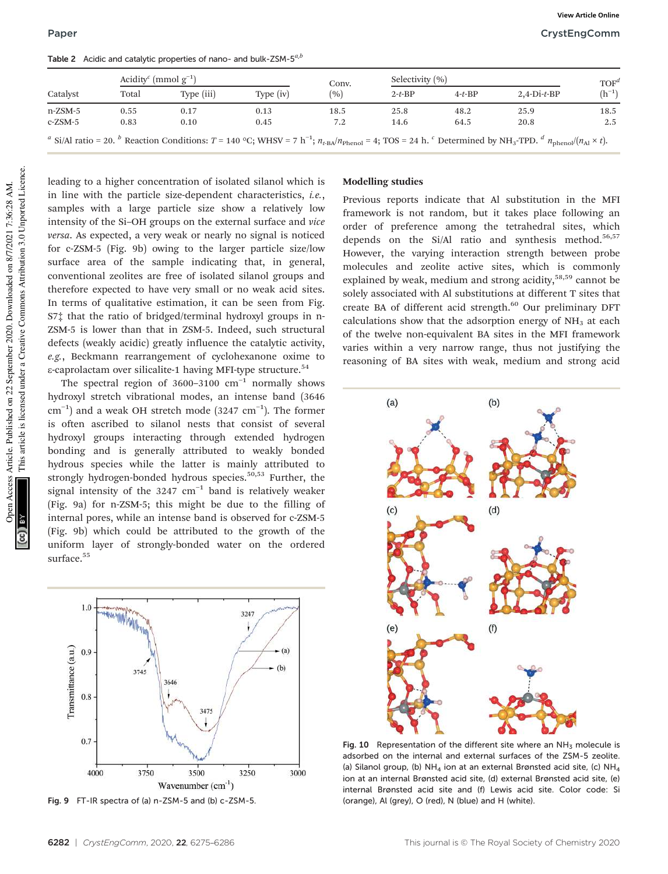Paper CrystEngComm **View Article Online**

|            | Acidity <sup>c</sup> (mmol $g^{-1}$ ) |            |             | Conv. | Selectivity (%) |          | TOF <sup>d</sup> |            |
|------------|---------------------------------------|------------|-------------|-------|-----------------|----------|------------------|------------|
| Catalyst   | Total                                 | Type (iii) | Type $(iv)$ | (%)   | $2-t-BP$        | $4-t-BP$ | $2,4-Di-t-BP$    | $(h^{-1})$ |
| $n$ -ZSM-5 | 0.55                                  | 0.17       | 0.13        | 18.5  | 25.8            | 48.2     | 25.9             | 18.5       |
| $c$ -ZSM-5 | 0.83                                  | 0.10       | 0.45        | 7.2   | 14.6            | 64.5     | 20.8             | 2.5        |

Table 2 Acidic and catalytic properties of nano- and bulk-ZSM-5*a*,*<sup>b</sup>*

*a* Si/Al ratio = 20. *b* Reaction Conditions: *T* = 140 °C; WHSV = 7 h<sup>-1</sup>;  $n_{t\text{-BA}}/n_{\text{Phenol}} = 4$ ; TOS = 24 h. <sup>*c*</sup> Determined by NH<sub>3</sub>-TPD. *<sup>d</sup>*  $n_{\text{phenol}}/(n_{\text{Al}} \times t)$ .

This article is licensed under a Creative Commons Attribution 3.0 Unported Licence. This article is licensed under a Creative Commons Attribution 3.0 Unported Licence. Dren Access Article. Published on 22 September 2020. Downloaded on 8/7/2021 7:36:28 AM. Open Access Article. Published on 22 September 2020. Downloaded on 8/7/2021 7:36:28 AM.

leading to a higher concentration of isolated silanol which is in line with the particle size-dependent characteristics, *i.e.*, samples with a large particle size show a relatively low intensity of the Si–OH groups on the external surface and *vice versa*. As expected, a very weak or nearly no signal is noticed for c-ZSM-5 (Fig. 9b) owing to the larger particle size/low surface area of the sample indicating that, in general, conventional zeolites are free of isolated silanol groups and therefore expected to have very small or no weak acid sites. In terms of qualitative estimation, it can be seen from Fig. S7‡ that the ratio of bridged/terminal hydroxyl groups in n-ZSM-5 is lower than that in ZSM-5. Indeed, such structural defects (weakly acidic) greatly influence the catalytic activity, *e.g.*, Beckmann rearrangement of cyclohexanone oxime to ε-caprolactam over silicalite-1 having MFI-type structure.<sup>54</sup>

The spectral region of 3600-3100  $cm^{-1}$  normally shows hydroxyl stretch vibrational modes, an intense band (3646 cm−<sup>1</sup> ) and a weak OH stretch mode (3247 cm−<sup>1</sup> ). The former is often ascribed to silanol nests that consist of several hydroxyl groups interacting through extended hydrogen bonding and is generally attributed to weakly bonded hydrous species while the latter is mainly attributed to strongly hydrogen-bonded hydrous species.<sup>50,53</sup> Further, the signal intensity of the 3247 cm<sup>-1</sup> band is relatively weaker (Fig. 9a) for n-ZSM-5; this might be due to the filling of internal pores, while an intense band is observed for c-ZSM-5 (Fig. 9b) which could be attributed to the growth of the uniform layer of strongly-bonded water on the ordered surface.<sup>55</sup>



Fig. 9 FT-IR spectra of (a) n-ZSM-5 and (b) c-ZSM-5.

### Modelling studies

Previous reports indicate that Al substitution in the MFI framework is not random, but it takes place following an order of preference among the tetrahedral sites, which depends on the Si/Al ratio and synthesis method.<sup>56,57</sup> However, the varying interaction strength between probe molecules and zeolite active sites, which is commonly explained by weak, medium and strong acidity,<sup>58,59</sup> cannot be solely associated with Al substitutions at different T sites that create BA of different acid strength.<sup>60</sup> Our preliminary DFT calculations show that the adsorption energy of  $NH<sub>3</sub>$  at each of the twelve non-equivalent BA sites in the MFI framework varies within a very narrow range, thus not justifying the reasoning of BA sites with weak, medium and strong acid



Fig. 10 Representation of the different site where an  $NH<sub>3</sub>$  molecule is adsorbed on the internal and external surfaces of the ZSM-5 zeolite. (a) Silanol group, (b) NH<sub>4</sub> ion at an external Brønsted acid site, (c) NH<sub>4</sub> ion at an internal Brønsted acid site, (d) external Brønsted acid site, (e) internal Brønsted acid site and (f) Lewis acid site. Color code: Si (orange), Al (grey), O (red), N (blue) and H (white).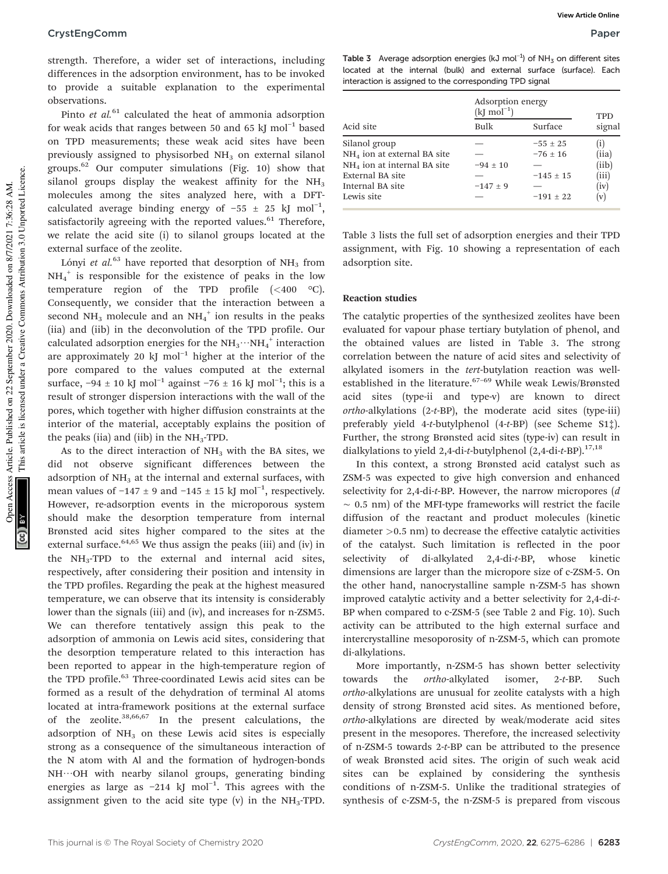strength. Therefore, a wider set of interactions, including differences in the adsorption environment, has to be invoked to provide a suitable explanation to the experimental observations.

Pinto *et al.*<sup>61</sup> calculated the heat of ammonia adsorption for weak acids that ranges between 50 and 65 kJ mol<sup>-1</sup> based on TPD measurements; these weak acid sites have been previously assigned to physisorbed  $NH<sub>3</sub>$  on external silanol groups.<sup>62</sup> Our computer simulations (Fig. 10) show that silanol groups display the weakest affinity for the  $NH<sub>3</sub>$ molecules among the sites analyzed here, with a DFTcalculated average binding energy of  $-55 \pm 25$  kJ mol<sup>-1</sup>, satisfactorily agreeing with the reported values. $61$  Therefore, we relate the acid site (i) to silanol groups located at the external surface of the zeolite.

Lónyi *et al.*<sup>63</sup> have reported that desorption of  $NH<sub>3</sub>$  from NH<sup>4</sup> + is responsible for the existence of peaks in the low temperature region of the TPD profile (<400 °C). Consequently, we consider that the interaction between a second  $NH_3$  molecule and an  $NH_4^+$  ion results in the peaks (iia) and (iib) in the deconvolution of the TPD profile. Our calculated adsorption energies for the  $\text{NH}_3\cdots\text{NH}_4^{+}$  interaction are approximately 20 kJ mol−<sup>1</sup> higher at the interior of the pore compared to the values computed at the external surface,  $-94 \pm 10$  kJ mol<sup>-1</sup> against  $-76 \pm 16$  kJ mol<sup>-1</sup>; this is a result of stronger dispersion interactions with the wall of the pores, which together with higher diffusion constraints at the interior of the material, acceptably explains the position of the peaks (iia) and (iib) in the  $NH<sub>3</sub>-TPD$ .

As to the direct interaction of  $NH<sub>3</sub>$  with the BA sites, we did not observe significant differences between the adsorption of  $NH<sub>3</sub>$  at the internal and external surfaces, with mean values of  $-147 \pm 9$  and  $-145 \pm 15$  kJ mol<sup>-1</sup>, respectively. However, re-adsorption events in the microporous system should make the desorption temperature from internal Brønsted acid sites higher compared to the sites at the external surface. $64,65$  We thus assign the peaks (iii) and (iv) in the  $NH_3$ -TPD to the external and internal acid sites, respectively, after considering their position and intensity in the TPD profiles. Regarding the peak at the highest measured temperature, we can observe that its intensity is considerably lower than the signals (iii) and (iv), and increases for n-ZSM5. We can therefore tentatively assign this peak to the adsorption of ammonia on Lewis acid sites, considering that the desorption temperature related to this interaction has been reported to appear in the high-temperature region of the TPD profile.<sup>63</sup> Three-coordinated Lewis acid sites can be formed as a result of the dehydration of terminal Al atoms located at intra-framework positions at the external surface of the zeolite.38,66,67 In the present calculations, the adsorption of  $NH<sub>3</sub>$  on these Lewis acid sites is especially strong as a consequence of the simultaneous interaction of the N atom with Al and the formation of hydrogen-bonds NH…OH with nearby silanol groups, generating binding energies as large as −214 kJ mol<sup>-1</sup>. This agrees with the assignment given to the acid site type  $(v)$  in the NH<sub>3</sub>-TPD.

Table 3 Average adsorption energies (kJ mol<sup>-1</sup>) of NH<sub>3</sub> on different sites located at the internal (bulk) and external surface (surface). Each interaction is assigned to the corresponding TPD signal

|                               | Adsorption energy<br>$(kJ \mod 1)$ |               | <b>TPD</b><br>signal      |  |
|-------------------------------|------------------------------------|---------------|---------------------------|--|
| Acid site                     | Bulk                               | Surface       |                           |  |
| Silanol group                 |                                    | $-55 \pm 25$  | $\left( \text{i} \right)$ |  |
| $NH4$ ion at external BA site |                                    | $-76 \pm 16$  | (iia)                     |  |
| $NH4$ ion at internal BA site | $-94 \pm 10$                       |               | (iib)                     |  |
| External BA site              |                                    | $-145 \pm 15$ | (iii)                     |  |
| Internal BA site              | $-147 \pm 9$                       |               | (iv)                      |  |
| Lewis site                    |                                    | $-191 \pm 22$ | (v)                       |  |

Table 3 lists the full set of adsorption energies and their TPD assignment, with Fig. 10 showing a representation of each adsorption site.

#### Reaction studies

The catalytic properties of the synthesized zeolites have been evaluated for vapour phase tertiary butylation of phenol, and the obtained values are listed in Table 3. The strong correlation between the nature of acid sites and selectivity of alkylated isomers in the *tert*-butylation reaction was wellestablished in the literature.<sup>67-69</sup> While weak Lewis/Brønsted acid sites (type-ii and type-v) are known to direct *ortho*-alkylations (2-*t*-BP), the moderate acid sites (type-iii) preferably yield 4-*t*-butylphenol (4-*t*-BP) (see Scheme S1‡). Further, the strong Brønsted acid sites (type-iv) can result in dialkylations to yield 2,4-di-*t*-butylphenol (2,4-di-*t*-BP).17,18

In this context, a strong Brønsted acid catalyst such as ZSM-5 was expected to give high conversion and enhanced selectivity for 2,4-di-*t*-BP. However, the narrow micropores (*d* ∼ 0.5 nm) of the MFI-type frameworks will restrict the facile diffusion of the reactant and product molecules (kinetic diameter >0.5 nm) to decrease the effective catalytic activities of the catalyst. Such limitation is reflected in the poor selectivity of di-alkylated 2,4-di-*t*-BP, whose kinetic dimensions are larger than the micropore size of c-ZSM-5. On the other hand, nanocrystalline sample n-ZSM-5 has shown improved catalytic activity and a better selectivity for 2,4-di-*t*-BP when compared to c-ZSM-5 (see Table 2 and Fig. 10). Such activity can be attributed to the high external surface and intercrystalline mesoporosity of n-ZSM-5, which can promote di-alkylations.

More importantly, n-ZSM-5 has shown better selectivity towards the *ortho*-alkylated isomer, 2-*t*-BP. Such *ortho*-alkylations are unusual for zeolite catalysts with a high density of strong Brønsted acid sites. As mentioned before, *ortho*-alkylations are directed by weak/moderate acid sites present in the mesopores. Therefore, the increased selectivity of n-ZSM-5 towards 2-*t*-BP can be attributed to the presence of weak Brønsted acid sites. The origin of such weak acid sites can be explained by considering the synthesis conditions of n-ZSM-5. Unlike the traditional strategies of synthesis of c-ZSM-5, the n-ZSM-5 is prepared from viscous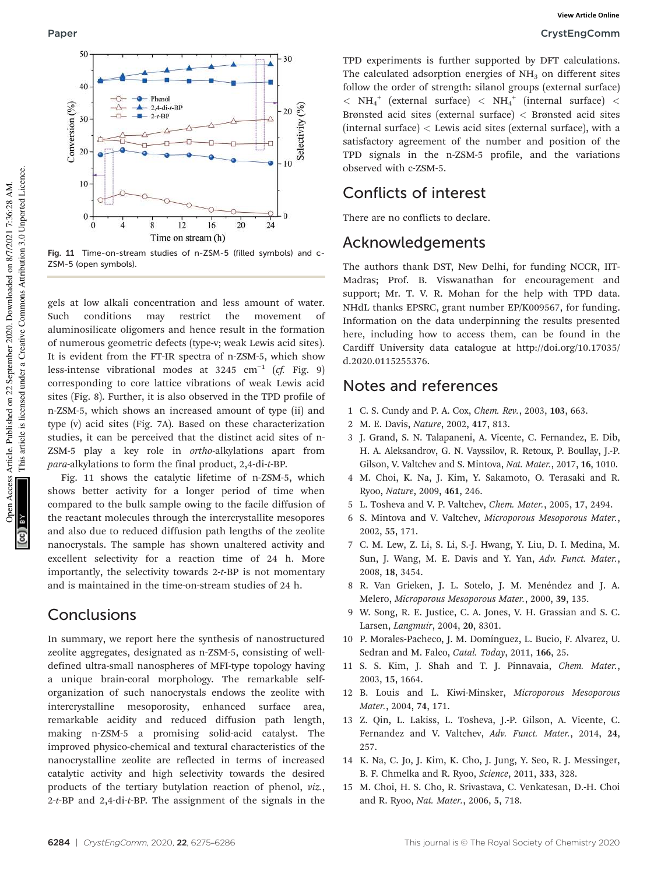

Fig. 11 Time-on-stream studies of n-ZSM-5 (filled symbols) and c-ZSM-5 (open symbols).

gels at low alkali concentration and less amount of water. Such conditions may restrict the movement of aluminosilicate oligomers and hence result in the formation of numerous geometric defects (type-v; weak Lewis acid sites). It is evident from the FT-IR spectra of n-ZSM-5, which show less-intense vibrational modes at 3245 cm−<sup>1</sup> (*cf.* Fig. 9) corresponding to core lattice vibrations of weak Lewis acid sites (Fig. 8). Further, it is also observed in the TPD profile of n-ZSM-5, which shows an increased amount of type (ii) and type (v) acid sites (Fig. 7A). Based on these characterization studies, it can be perceived that the distinct acid sites of n-ZSM-5 play a key role in *ortho*-alkylations apart from *para*-alkylations to form the final product, 2,4-di-*t*-BP.

Fig. 11 shows the catalytic lifetime of n-ZSM-5, which shows better activity for a longer period of time when compared to the bulk sample owing to the facile diffusion of the reactant molecules through the intercrystallite mesopores and also due to reduced diffusion path lengths of the zeolite nanocrystals. The sample has shown unaltered activity and excellent selectivity for a reaction time of 24 h. More importantly, the selectivity towards 2-*t*-BP is not momentary and is maintained in the time-on-stream studies of 24 h.

# **Conclusions**

In summary, we report here the synthesis of nanostructured zeolite aggregates, designated as n-ZSM-5, consisting of welldefined ultra-small nanospheres of MFI-type topology having a unique brain-coral morphology. The remarkable selforganization of such nanocrystals endows the zeolite with intercrystalline mesoporosity, enhanced surface area, remarkable acidity and reduced diffusion path length, making n-ZSM-5 a promising solid-acid catalyst. The improved physico-chemical and textural characteristics of the nanocrystalline zeolite are reflected in terms of increased catalytic activity and high selectivity towards the desired products of the tertiary butylation reaction of phenol, *viz.*, 2-*t*-BP and 2,4-di-*t*-BP. The assignment of the signals in the TPD experiments is further supported by DFT calculations. The calculated adsorption energies of  $NH<sub>3</sub>$  on different sites follow the order of strength: silanol groups (external surface)  $<$  NH $_4^+$  (external surface)  $<$  NH $_4^+$  (internal surface)  $<$ Brønsted acid sites (external surface) < Brønsted acid sites (internal surface)  $<$  Lewis acid sites (external surface), with a satisfactory agreement of the number and position of the TPD signals in the n-ZSM-5 profile, and the variations observed with c-ZSM-5.

# Conflicts of interest

There are no conflicts to declare.

# Acknowledgements

The authors thank DST, New Delhi, for funding NCCR, IIT-Madras; Prof. B. Viswanathan for encouragement and support; Mr. T. V. R. Mohan for the help with TPD data. NHdL thanks EPSRC, grant number EP/K009567, for funding. Information on the data underpinning the results presented here, including how to access them, can be found in the Cardiff University data catalogue at http://doi.org/10.17035/ d.2020.0115255376.

## Notes and references

- 1 C. S. Cundy and P. A. Cox, *Chem. Rev.*, 2003, 103, 663.
- 2 M. E. Davis, *Nature*, 2002, 417, 813.
- 3 J. Grand, S. N. Talapaneni, A. Vicente, C. Fernandez, E. Dib, H. A. Aleksandrov, G. N. Vayssilov, R. Retoux, P. Boullay, J.-P. Gilson, V. Valtchev and S. Mintova, *Nat. Mater.*, 2017, 16, 1010.
- 4 M. Choi, K. Na, J. Kim, Y. Sakamoto, O. Terasaki and R. Ryoo, *Nature*, 2009, 461, 246.
- 5 L. Tosheva and V. P. Valtchev, *Chem. Mater.*, 2005, 17, 2494.
- 6 S. Mintova and V. Valtchev, *Microporous Mesoporous Mater.*, 2002, 55, 171.
- 7 C. M. Lew, Z. Li, S. Li, S.-J. Hwang, Y. Liu, D. I. Medina, M. Sun, J. Wang, M. E. Davis and Y. Yan, *Adv. Funct. Mater.*, 2008, 18, 3454.
- 8 R. Van Grieken, J. L. Sotelo, J. M. Menéndez and J. A. Melero, *Microporous Mesoporous Mater.*, 2000, 39, 135.
- 9 W. Song, R. E. Justice, C. A. Jones, V. H. Grassian and S. C. Larsen, *Langmuir*, 2004, 20, 8301.
- 10 P. Morales-Pacheco, J. M. Domínguez, L. Bucio, F. Alvarez, U. Sedran and M. Falco, *Catal. Today*, 2011, 166, 25.
- 11 S. S. Kim, J. Shah and T. J. Pinnavaia, *Chem. Mater.*, 2003, 15, 1664.
- 12 B. Louis and L. Kiwi-Minsker, *Microporous Mesoporous Mater.*, 2004, 74, 171.
- 13 Z. Qin, L. Lakiss, L. Tosheva, J.-P. Gilson, A. Vicente, C. Fernandez and V. Valtchev, *Adv. Funct. Mater.*, 2014, 24, 257.
- 14 K. Na, C. Jo, J. Kim, K. Cho, J. Jung, Y. Seo, R. J. Messinger, B. F. Chmelka and R. Ryoo, *Science*, 2011, 333, 328.
- 15 M. Choi, H. S. Cho, R. Srivastava, C. Venkatesan, D.-H. Choi and R. Ryoo, *Nat. Mater.*, 2006, 5, 718.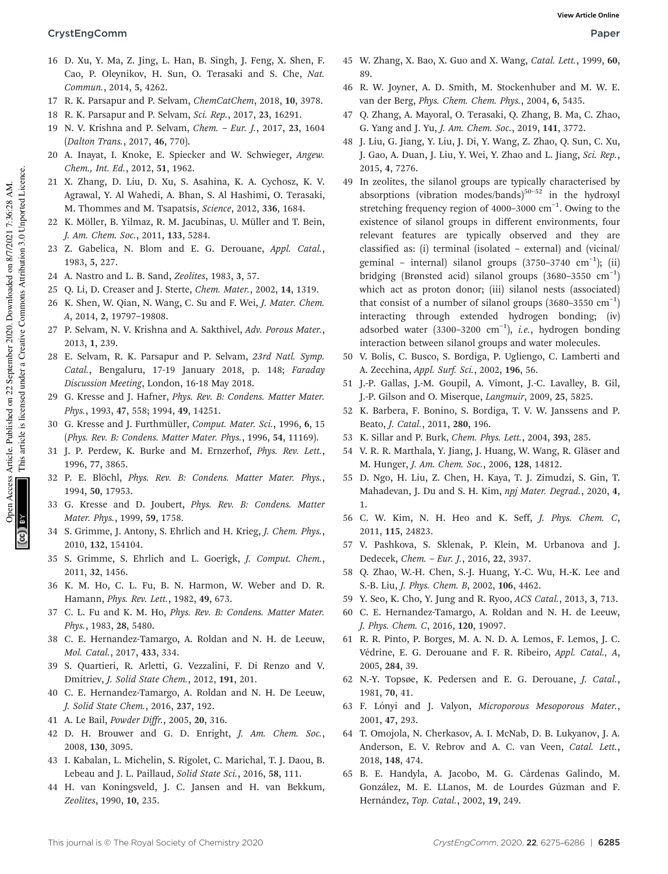- 16 D. Xu, Y. Ma, Z. Jing, L. Han, B. Singh, J. Feng, X. Shen, F. Cao, P. Oleynikov, H. Sun, O. Terasaki and S. Che, *Nat. Commun.*, 2014, 5, 4262.
- 17 R. K. Parsapur and P. Selvam, *ChemCatChem*, 2018, 10, 3978.
- 18 R. K. Parsapur and P. Selvam, *Sci. Rep.*, 2017, 23, 16291.
- 19 N. V. Krishna and P. Selvam, *Chem. Eur. J.*, 2017, 23, 1604 (*Dalton Trans.*, 2017, 46, 770).
- 20 A. Inayat, I. Knoke, E. Spiecker and W. Schwieger, *Angew. Chem., Int. Ed.*, 2012, 51, 1962.
- 21 X. Zhang, D. Liu, D. Xu, S. Asahina, K. A. Cychosz, K. V. Agrawal, Y. Al Wahedi, A. Bhan, S. Al Hashimi, O. Terasaki, M. Thommes and M. Tsapatsis, *Science*, 2012, 336, 1684.
- 22 K. Möller, B. Yilmaz, R. M. Jacubinas, U. Müller and T. Bein, *J. Am. Chem. Soc.*, 2011, 133, 5284.
- 23 Z. Gabelica, N. Blom and E. G. Derouane, *Appl. Catal.*, 1983, 5, 227.
- 24 A. Nastro and L. B. Sand, *Zeolites*, 1983, 3, 57.
- 25 Q. Li, D. Creaser and J. Sterte, *Chem. Mater.*, 2002, 14, 1319.
- 26 K. Shen, W. Qian, N. Wang, C. Su and F. Wei, *J. Mater. Chem. A*, 2014, 2, 19797–19808.
- 27 P. Selvam, N. V. Krishna and A. Sakthivel, *Adv. Porous Mater.*, 2013, 1, 239.
- 28 E. Selvam, R. K. Parsapur and P. Selvam, *23rd Natl. Symp. Catal.*, Bengaluru, 17-19 January 2018, p. 148; *Faraday Discussion Meeting*, London, 16-18 May 2018.
- 29 G. Kresse and J. Hafner, *Phys. Rev. B: Condens. Matter Mater. Phys.*, 1993, 47, 558; 1994, 49, 14251.
- 30 G. Kresse and J. Furthmüller, *Comput. Mater. Sci.*, 1996, 6, 15 (*Phys. Rev. B: Condens. Matter Mater. Phys.*, 1996, 54, 11169).
- 31 J. P. Perdew, K. Burke and M. Ernzerhof, *Phys. Rev. Lett.*, 1996, 77, 3865.
- 32 P. E. Blöchl, *Phys. Rev. B: Condens. Matter Mater. Phys.*, 1994, 50, 17953.
- 33 G. Kresse and D. Joubert, *Phys. Rev. B: Condens. Matter Mater. Phys.*, 1999, 59, 1758.
- 34 S. Grimme, J. Antony, S. Ehrlich and H. Krieg, *J. Chem. Phys.*, 2010, 132, 154104.
- 35 S. Grimme, S. Ehrlich and L. Goerigk, *J. Comput. Chem.*, 2011, 32, 1456.
- 36 K. M. Ho, C. L. Fu, B. N. Harmon, W. Weber and D. R. Hamann, *Phys. Rev. Lett.*, 1982, 49, 673.
- 37 C. L. Fu and K. M. Ho, *Phys. Rev. B: Condens. Matter Mater. Phys.*, 1983, 28, 5480.
- 38 C. E. Hernandez-Tamargo, A. Roldan and N. H. de Leeuw, *Mol. Catal.*, 2017, 433, 334.
- 39 S. Quartieri, R. Arletti, G. Vezzalini, F. Di Renzo and V. Dmitriev, *J. Solid State Chem.*, 2012, 191, 201.
- 40 C. E. Hernandez-Tamargo, A. Roldan and N. H. De Leeuw, *J. Solid State Chem.*, 2016, 237, 192.
- 41 A. Le Bail, *Powder Diffr.*, 2005, 20, 316.
- 42 D. H. Brouwer and G. D. Enright, *J. Am. Chem. Soc.*, 2008, 130, 3095.
- 43 I. Kabalan, L. Michelin, S. Rigolet, C. Marichal, T. J. Daou, B. Lebeau and J. L. Paillaud, *Solid State Sci.*, 2016, 58, 111.
- 44 H. van Koningsveld, J. C. Jansen and H. van Bekkum, *Zeolites*, 1990, 10, 235.
- 45 W. Zhang, X. Bao, X. Guo and X. Wang, *Catal. Lett.*, 1999, 60, 89.
- 46 R. W. Joyner, A. D. Smith, M. Stockenhuber and M. W. E. van der Berg, *Phys. Chem. Chem. Phys.*, 2004, 6, 5435.
- 47 Q. Zhang, A. Mayoral, O. Terasaki, Q. Zhang, B. Ma, C. Zhao, G. Yang and J. Yu, *J. Am. Chem. Soc.*, 2019, 141, 3772.
- 48 J. Liu, G. Jiang, Y. Liu, J. Di, Y. Wang, Z. Zhao, Q. Sun, C. Xu, J. Gao, A. Duan, J. Liu, Y. Wei, Y. Zhao and L. Jiang, *Sci. Rep.*, 2015, 4, 7276.
- 49 In zeolites, the silanol groups are typically characterised by absorptions (vibration modes/bands) $50-52$  in the hydroxyl stretching frequency region of 4000-3000 cm<sup>-1</sup>. Owing to the existence of silanol groups in different environments, four relevant features are typically observed and they are classified as: (i) terminal (isolated – external) and (vicinal/ geminal – internal) silanol groups (3750-3740 cm<sup>-1</sup>); (ii) bridging (Brønsted acid) silanol groups (3680–3550 cm−<sup>1</sup> ) which act as proton donor; (iii) silanol nests (associated) that consist of a number of silanol groups  $(3680-3550 \text{ cm}^{-1})$ interacting through extended hydrogen bonding; (iv) adsorbed water (3300–3200 cm−<sup>1</sup> ), *i.e.*, hydrogen bonding interaction between silanol groups and water molecules.
- 50 V. Bolis, C. Busco, S. Bordiga, P. Ugliengo, C. Lamberti and A. Zecchina, *Appl. Surf. Sci.*, 2002, 196, 56.
- 51 J.-P. Gallas, J.-M. Goupil, A. Vimont, J.-C. Lavalley, B. Gil, J.-P. Gilson and O. Miserque, *Langmuir*, 2009, 25, 5825.
- 52 K. Barbera, F. Bonino, S. Bordiga, T. V. W. Janssens and P. Beato, *J. Catal.*, 2011, 280, 196.
- 53 K. Sillar and P. Burk, *Chem. Phys. Lett.*, 2004, 393, 285.
- 54 V. R. R. Marthala, Y. Jiang, J. Huang, W. Wang, R. Gläser and M. Hunger, *J. Am. Chem. Soc.*, 2006, 128, 14812.
- 55 D. Ngo, H. Liu, Z. Chen, H. Kaya, T. J. Zimudzi, S. Gin, T. Mahadevan, J. Du and S. H. Kim, *npj Mater. Degrad.*, 2020, 4, 1.
- 56 C. W. Kim, N. H. Heo and K. Seff, *J. Phys. Chem. C*, 2011, 115, 24823.
- 57 V. Pashkova, S. Sklenak, P. Klein, M. Urbanova and J. Dedecek, *Chem.* – *Eur. J.*, 2016, 22, 3937.
- 58 Q. Zhao, W.-H. Chen, S.-J. Huang, Y.-C. Wu, H.-K. Lee and S.-B. Liu, *J. Phys. Chem. B*, 2002, 106, 4462.
- 59 Y. Seo, K. Cho, Y. Jung and R. Ryoo, *ACS Catal.*, 2013, 3, 713.
- 60 C. E. Hernandez-Tamargo, A. Roldan and N. H. de Leeuw, *J. Phys. Chem. C*, 2016, 120, 19097.
- 61 R. R. Pinto, P. Borges, M. A. N. D. A. Lemos, F. Lemos, J. C. Védrine, E. G. Derouane and F. R. Ribeiro, *Appl. Catal., A*, 2005, 284, 39.
- 62 N.-Y. Topsøe, K. Pedersen and E. G. Derouane, *J. Catal.*, 1981, 70, 41.
- 63 F. Lónyi and J. Valyon, *Microporous Mesoporous Mater.*, 2001, 47, 293.
- 64 T. Omojola, N. Cherkasov, A. I. McNab, D. B. Lukyanov, J. A. Anderson, E. V. Rebrov and A. C. van Veen, *Catal. Lett.*, 2018, 148, 474.
- 65 B. E. Handyla, A. Jacobo, M. G. Cárdenas Galindo, M. González, M. E. LLanos, M. de Lourdes Gúzman and F. Hernández, *Top. Catal.*, 2002, 19, 249.